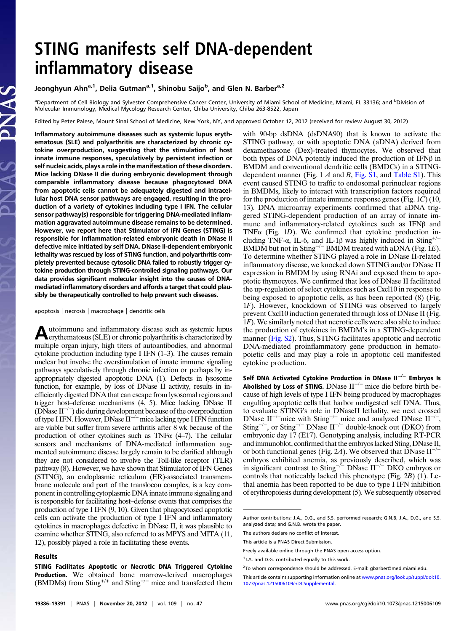# STING manifests self DNA-dependent inflammatory disease

Jeonghyun Ahn<sup>a, 1</sup>, Delia Gutman<sup>a, 1</sup>, Shinobu Saijo<sup>b</sup>, and Glen N. Barber<sup>a, 2</sup>

<sup>a</sup>Department of Cell Biology and Sylvester Comprehensive Cancer Center, University of Miami School of Medicine, Miami, FL 33136; and <sup>b</sup>Division of Molecular Immunology, Medical Mycology Research Center, Chiba University, Chiba 263-8522, Japan

Edited by Peter Palese, Mount Sinai School of Medicine, New York, NY, and approved October 12, 2012 (received for review August 30, 2012)

Inflammatory autoimmune diseases such as systemic lupus erythematosus (SLE) and polyarthritis are characterized by chronic cytokine overproduction, suggesting that the stimulation of host innate immune responses, speculatively by persistent infection or self nucleic acids, plays a role in the manifestation of these disorders. Mice lacking DNase II die during embryonic development through comparable inflammatory disease because phagocytosed DNA from apoptotic cells cannot be adequately digested and intracellular host DNA sensor pathways are engaged, resulting in the production of a variety of cytokines including type I IFN. The cellular sensor pathway(s) responsible for triggering DNA-mediated inflammation aggravated autoimmune disease remains to be determined. However, we report here that Stimulator of IFN Genes (STING) is responsible for inflammation-related embryonic death in DNase II defective mice initiated by self DNA. DNase II-dependent embryonic lethality was rescued by loss of STING function, and polyarthritis completely prevented because cytosolic DNA failed to robustly trigger cytokine production through STING-controlled signaling pathways. Our data provides significant molecular insight into the causes of DNAmediated inflammatory disorders and affords a target that could plausibly be therapeutically controlled to help prevent such diseases.

### apoptosis | necrosis | macrophage | dendritic cells

Autoimmune and inflammatory disease such as systemic lupus erythematosus (SLE) or chronic polyarthritis is characterized by multiple organ injury, high titers of autoantibodies, and abnormal cytokine production including type I IFN (1–3). The causes remain unclear but involve the overstimulation of innate immune signaling pathways speculatively through chronic infection or perhaps by inappropriately digested apoptotic DNA (1). Defects in lysosome function, for example, by loss of DNase II activity, results in inefficiently digested DNA that can escape from lysosomal regions and trigger host–defense mechanisms (4, 5). Mice lacking DNase II (DNase II−/<sup>−</sup> ) die during development because of the overproduction of type I IFN. However, DNase II−/−mice lacking type I IFN function are viable but suffer from severe arthritis after 8 wk because of the production of other cytokines such as TNF $\alpha$  (4–7). The cellular sensors and mechanisms of DNA-mediated inflammation augmented autoimmune disease largely remain to be clarified although they are not considered to involve the Toll-like receptor (TLR) pathway (8). However, we have shown that Stimulator of IFN Genes (STING), an endoplasmic reticulum (ER)-associated transmembrane molecule and part of the translocon complex, is a key component in controlling cytoplasmic DNA innate immune signaling and is responsible for facilitating host–defense events that comprises the production of type I IFN (9, 10). Given that phagocytosed apoptotic cells can activate the production of type I IFN and inflammatory cytokines in macrophages defective in DNase II, it was plausible to examine whether STING, also referred to as MPYS and MITA (11, 12), possibly played a role in facilitating these events.

#### Results

STING Facilitates Apoptotic or Necrotic DNA Triggered Cytokine Production. We obtained bone marrow-derived macrophages (BMDMs) from Sting+/<sup>+</sup> and Sting−/<sup>−</sup> mice and transfected them with 90-bp dsDNA (dsDNA90) that is known to activate the STING pathway, or with apoptotic DNA (aDNA) derived from dexamethasone (Dex)-treated thymocytes. We observed that both types of DNA potently induced the production of IFNβ in BMDM and conventional dendritic cells (BMDCs) in a STINGdependent manner (Fig.  $1 \text{ A}$  and  $\text{B}$ , [Fig. S1](http://www.pnas.org/lookup/suppl/doi:10.1073/pnas.1215006109/-/DCSupplemental/pnas.201215006SI.pdf?targetid=nameddest=SF1), and [Table S1\)](http://www.pnas.org/lookup/suppl/doi:10.1073/pnas.1215006109/-/DCSupplemental/pnas.201215006SI.pdf?targetid=nameddest=ST1). This event caused STING to traffic to endosomal perinuclear regions in BMDMs, likely to interact with transcription factors required for the production of innate immune response genes (Fig. 1C) (10, 13). DNA microarray experiments confirmed that aDNA triggered STING-dependent production of an array of innate immune and inflammatory-related cytokines such as IFNβ and TNF $\alpha$  (Fig. 1D). We confirmed that cytokine production including TNF- $\alpha$ , IL-6, and IL-1 $\beta$  was highly induced in Sting<sup>+/+</sup> BMDM but not in Sting<sup>-/−</sup> BMDM treated with aDNA (Fig.  $1E$ ). To determine whether STING played a role in DNase II-related inflammatory disease, we knocked down STING and/or DNase II expression in BMDM by using RNAi and exposed them to apoptotic thymocytes. We confirmed that loss of DNase II facilitated the up-regulation of select cytokines such as Cxcl10 in response to being exposed to apoptotic cells, as has been reported (8) (Fig. 1F). However, knockdown of STING was observed to largely prevent Cxcl10 induction generated through loss of DNase II (Fig. 1F). We similarly noted that necrotic cells were also able to induce the production of cytokines in BMDM's in a STING-dependent manner ([Fig. S2\)](http://www.pnas.org/lookup/suppl/doi:10.1073/pnas.1215006109/-/DCSupplemental/pnas.201215006SI.pdf?targetid=nameddest=SF2). Thus, STING facilitates apoptotic and necrotic DNA-mediated proinflammatory gene production in hematopoietic cells and may play a role in apoptotic cell manifested cytokine production.

Self DNA Activated Cytokine Production in DNase II−/<sup>−</sup> Embryos Is Abolished by Loss of STING. DNase II−/<sup>−</sup> mice die before birth because of high levels of type I IFN being produced by macrophages engulfing apoptotic cells that harbor undigested self DNA. Thus, to evaluate STING's role in DNaseII lethality, we next crossed DNase II<sup>-/+</sup>mice with Sting<sup>-/-</sup> mice and analyzed DNase II<sup>-/-</sup>, Sting<sup>-/-</sup>, or Sting<sup>-/-</sup> DNase II<sup>-/-</sup> double-knock out (DKO) from embryonic day 17 (E17). Genotyping analysis, including RT-PCR and immunoblot, confirmed that the embryos lacked Sting, DNase II, or both functional genes (Fig. 2A). We observed that DNase  $II^{-/-}$ embryos exhibited anemia, as previously described, which was in significant contrast to Sting<sup>- $/-$ </sup> DNase II<sup>-/−</sup> DKO embryos or controls that noticeably lacked this phenotype (Fig. 2B) (1). Lethal anemia has been reported to be due to type I IFN inhibition of erythropoiesis during development (5). We subsequently observed

Author contributions: J.A., D.G., and S.S. performed research; G.N.B, J.A., D.G., and S.S. analyzed data; and G.N.B. wrote the paper.

The authors declare no conflict of interest.

This article is a PNAS Direct Submission.

Freely available online through the PNAS open access option.

<sup>&</sup>lt;sup>1</sup>J.A. and D.G. contributed equally to this work.

<sup>&</sup>lt;sup>2</sup>To whom correspondence should be addressed. E-mail: [gbarber@med.miami.edu](mailto:gbarber@med.miami.edu).

This article contains supporting information online at [www.pnas.org/lookup/suppl/doi:10.](http://www.pnas.org/lookup/suppl/doi:10.1073/pnas.1215006109/-/DCSupplemental) [1073/pnas.1215006109/-/DCSupplemental.](http://www.pnas.org/lookup/suppl/doi:10.1073/pnas.1215006109/-/DCSupplemental)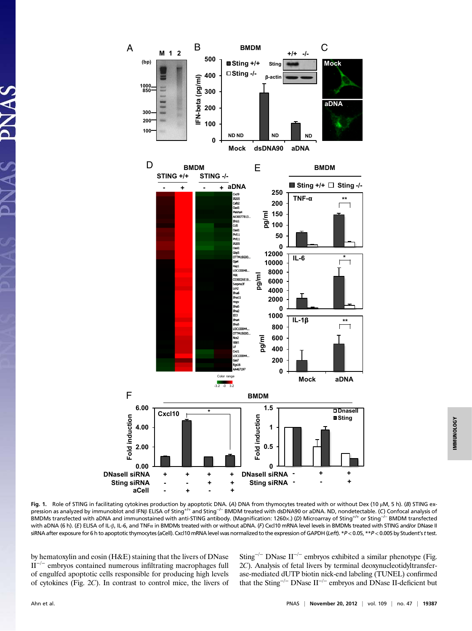

Fig. 1. Role of STING in facilitating cytokines production by apoptotic DNA. (A) DNA from thymocytes treated with or without Dex (10 μM, 5 h). (B) STING expression as analyzed by immunoblot and IFNβ ELISA of Sting<sup>+/+</sup> and Sting<sup>-/−</sup> BMDM treated with dsDNA90 or aDNA. ND, nondetectable. (C) Confocal analysis of BMDMs transfected with aDNA and immunostained with anti-STING antibody. (Magnification: 1260×.) (D) Microarray of Sting+/<sup>+</sup> or Sting−/<sup>−</sup> BMDM transfected with aDNA (6 h). (E) ELISA of IL-β, IL-6, and TNFα in BMDMs treated with or without aDNA. (F) Cxcl10 mRNA level levels in BMDMs treated with STING and/or DNase II siRNA after exposure for 6 h to apoptotic thymocytes (aCell). Cxcl10 mRNA level was normalized to the expression of GAPDH (Left). \*P<0.05, \*\*P<0.005 by Student's t test.

by hematoxylin and eosin (H&E) staining that the livers of DNase  $II^{-/-}$  embryos contained numerous infiltrating macrophages full of engulfed apoptotic cells responsible for producing high levels of cytokines (Fig. 2C). In contrast to control mice, the livers of Sting<sup>-/−</sup> DNase II<sup>-/−</sup> embryos exhibited a similar phenotype (Fig. 2C). Analysis of fetal livers by terminal deoxynucleotidyltransferase-mediated dUTP biotin nick-end labeling (TUNEL) confirmed that the Sting−/<sup>−</sup> DNase II−/<sup>−</sup> embryos and DNase II-deficient but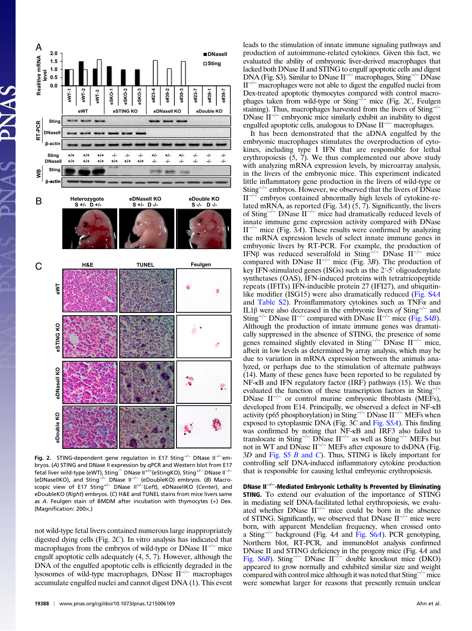

Fig. 2. STING-dependent gene regulation in E17 Sting<sup>-/−</sup> DNase II<sup>-/−</sup>embryos. (A) STING and DNase II expression by qPCR and Western blot from E17 fetal liver wild-type (eWT), Sting<sup>-/−</sup> DNase II<sup>+/+</sup>(eStingKO), Sting<sup>+/−</sup> DNase II<sup>−/−</sup> (eDNaseIIKO), and Sting−/<sup>−</sup> DNase II−/<sup>−</sup> (eDoubleKO) embryos. (B) Macroscopic view of E17 Sting<sup>+/−</sup> DNase II<sup>+/−</sup>(Left), eDNaseIIKO (Center), and eDoubleKO (Right) embryos. (C) H&E and TUNEL stains from mice livers same as A. Feulgen stain of BMDM after incubation with thymocytes (+) Dex. (Magnification: 200×.)

not wild-type fetal livers contained numerous large inappropriately digested dying cells (Fig. 2C). In vitro analysis has indicated that macrophages from the embryos of wild-type or DNase II<sup>-/−</sup> mice engulf apoptotic cells adequately (4, 5, 7). However, although the DNA of the engulfed apoptotic cells is efficiently degraded in the lysosomes of wild-type macrophages, DNase II−/<sup>−</sup> macrophages accumulate engulfed nuclei and cannot digest DNA (1). This event leads to the stimulation of innate immune signaling pathways and production of autoimmune-related cytokines. Given this fact, we evaluated the ability of embryonic liver-derived macrophages that lacked both DNase II and STING to engulf apoptotic cells and digest DNA (Fig. S3). Similar to DNase II<sup>-/−</sup> macrophages, Sting<sup>-/−</sup> DNase II−/<sup>−</sup> macrophages were not able to digest the engulfed nuclei from Dex-treated apoptotic thymocytes compared with control macrophages taken from wild-type or Sting<sup> $-/-$ </sup> mice (Fig. 2C, Feulgen staining). Thus, macrophages harvested from the livers of Sting<sup>-1</sup> DNase II−/<sup>−</sup> embryonic mice similarly exhibit an inability to digest engulfed apoptotic cells, analogous to DNase II−/<sup>−</sup> macrophages.

It has been demonstrated that the aDNA engulfed by the embryonic macrophages stimulates the overproduction of cytokines, including type I IFN that are responsible for lethal erythropoiesis  $(5, 7)$ . We thus complemented our above study with analyzing mRNA expression levels, by microarray analysis, in the livers of the embryonic mice. This experiment indicated little inflammatory gene production in the livers of wild-type or Sting−/<sup>−</sup> embryos. However, we observed that the livers of DNase II−/<sup>−</sup> embryos contained abnormally high levels of cytokine-related mRNA, as reported (Fig. 3A)  $(5, 7)$ . Significantly, the livers of Sting−/<sup>−</sup> DNase II−/<sup>−</sup> mice had dramatically reduced levels of innate immune gene expression activity compared with DNase II<sup> $-/-$ </sup> mice (Fig. 3A). These results were confirmed by analyzing the mRNA expression levels of select innate immune genes in embryonic livers by RT-PCR. For example, the production of IFNβ was reduced severalfold in Sting<sup>-/-</sup> DNase II<sup>-/-</sup> mice compared with DNase  $II^{-/-}$  mice (Fig. 3B). The production of key IFN-stimulated genes (ISGs) such as the 2′-5′ oligoadenylate synthetases (OAS), IFN-induced proteins with tetratricopeptide repeats (IFITs) IFN-inducible protein 27 (IFI27), and ubiquitin-like modifier (ISG15) were also dramatically reduced [\(Fig. S4](http://www.pnas.org/lookup/suppl/doi:10.1073/pnas.1215006109/-/DCSupplemental/pnas.201215006SI.pdf?targetid=nameddest=SF4)A) and [Table S2\)](http://www.pnas.org/lookup/suppl/doi:10.1073/pnas.1215006109/-/DCSupplemental/pnas.201215006SI.pdf?targetid=nameddest=ST2). Proinflammatory cytokines such as TNF $\alpha$  and IL1β were also decreased in the embryonic livers of Sting<sup>-/−</sup> and Sting<sup>-/−</sup> DNase II<sup>-/−</sup> compared with DNase II<sup>-/−</sup> mice ([Fig. S4](http://www.pnas.org/lookup/suppl/doi:10.1073/pnas.1215006109/-/DCSupplemental/pnas.201215006SI.pdf?targetid=nameddest=SF4)B). Although the production of innate immune genes was dramatically suppressed in the absence of STING, the presence of some genes remained slightly elevated in Sting<sup>-/−</sup> DNase II<sup>-/−</sup> mice, albeit in low levels as determined by array analysis, which may be due to variation in mRNA expression between the animals analyzed, or perhaps due to the stimulation of alternate pathways (14). Many of these genes have been reported to be regulated by NF-κB and IFN regulatory factor (IRF) pathways (15). We thus evaluated the function of these transcription factors in Sting<sup>-/</sup> DNase II−/<sup>−</sup> or control murine embryonic fibroblasts (MEFs), developed from E14. Principally, we observed a defect in NF-κB activity (p65 phosphorylation) in Sting−/<sup>−</sup> DNase II−/<sup>−</sup> MEFs when exposed to cytoplasmic DNA (Fig. 3C and [Fig. S5](http://www.pnas.org/lookup/suppl/doi:10.1073/pnas.1215006109/-/DCSupplemental/pnas.201215006SI.pdf?targetid=nameddest=SF5)A). This finding was confirmed by noting that NF-κB and IRF3 also failed to translocate in Sting<sup>-/−</sup> DNase  $II^{-/-}$  as well as Sting<sup>-/−</sup> MEFs but not in WT and DNase II<sup>-/−</sup> MEFs after exposure to dsDNA (Fig. 3D and [Fig. S5](http://www.pnas.org/lookup/suppl/doi:10.1073/pnas.1215006109/-/DCSupplemental/pnas.201215006SI.pdf?targetid=nameddest=SF5) B and C). Thus, STING is likely important for controlling self DNA-induced inflammatory cytokine production that is responsible for causing lethal embryonic erythropoiesis.

DNase II−/−-Mediated Embryonic Lethality Is Prevented by Eliminating STING. To extend our evaluation of the importance of STING in mediating self DNA-facilitated lethal erythropoiesis, we evaluated whether DNase  $II^{-/-}$  mice could be born in the absence of STING. Significantly, we observed that DNase II−/<sup>−</sup> mice were born, with apparent Mendelian frequency, when crossed onto a Sting−/<sup>−</sup> background (Fig. 4A and [Fig. S6](http://www.pnas.org/lookup/suppl/doi:10.1073/pnas.1215006109/-/DCSupplemental/pnas.201215006SI.pdf?targetid=nameddest=SF6)A). PCR genotyping, Northern blot, RT-PCR, and immunoblot analysis confirmed DNase II and STING deficiency in the progeny mice (Fig. 4A and [Fig. S6](http://www.pnas.org/lookup/suppl/doi:10.1073/pnas.1215006109/-/DCSupplemental/pnas.201215006SI.pdf?targetid=nameddest=SF6)B). Sting−/<sup>−</sup> DNase II−/<sup>−</sup> double knockout mice (DKO) appeared to grow normally and exhibited similar size and weight compared with control mice although it was noted that Sting−/<sup>−</sup> mice were somewhat larger for reasons that presently remain unclear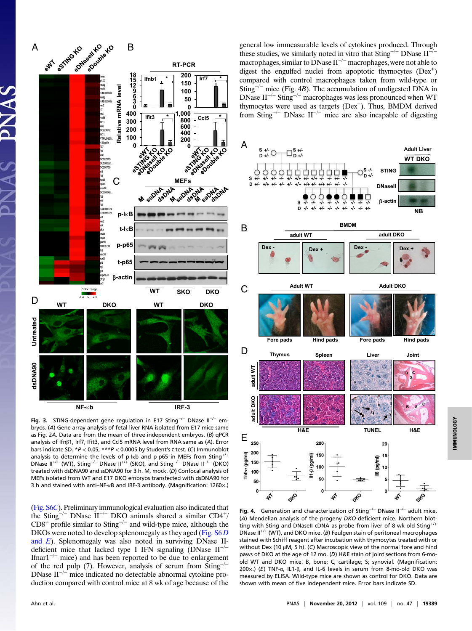

Fig. 3. STING-dependent gene regulation in E17 Sting−/<sup>−</sup> DNase II−/<sup>−</sup> embryos. (A) Gene array analysis of fetal liver RNA isolated from E17 mice same as Fig. 2A. Data are from the mean of three independent embryos. (B) qPCR analysis of Ifnβ1, Irf7, Ifit3, and Ccl5 mRNA level from RNA same as (A). Error bars indicate SD. \*P < 0.05, \*\*\*P < 0.0005 by Student's t test. (C) Immunoblot analysis to determine the levels of p-I $kb$  and p-p65 in MEFs from Sting<sup>+/+</sup> DNase II<sup>+/+</sup> (WT), Sting<sup>-/-</sup> DNase II<sup>+/+</sup> (SKO), and Sting<sup>-/-</sup> DNase II<sup>-/-</sup> (DKO) treated with dsDNA90 and ssDNA90 for 3 h. M, mock. (D) Confocal analysis of MEFs isolated from WT and E17 DKO embryos transfected with dsDNA90 for 3 h and stained with anti–NF-κB and IRF-3 antibody. (Magnification: 1260×.)

[\(Fig. S6](http://www.pnas.org/lookup/suppl/doi:10.1073/pnas.1215006109/-/DCSupplemental/pnas.201215006SI.pdf?targetid=nameddest=SF6)C). Preliminary immunological evaluation also indicated that the Sting−/<sup>−</sup> DNase II−/<sup>−</sup> DKO animals shared a similar CD4<sup>+</sup> / CD8<sup>+</sup> profile similar to Sting−/<sup>−</sup> and wild-type mice, although the DKOs were noted to develop splenomegaly as they aged (Fig.  $S6D$ [and](http://www.pnas.org/lookup/suppl/doi:10.1073/pnas.1215006109/-/DCSupplemental/pnas.201215006SI.pdf?targetid=nameddest=SF6) E). Splenomegaly was also noted in surviving DNase IIdeficient mice that lacked type I IFN signaling (DNase II−/<sup>−</sup> Ifnar $1^{-/-}$  mice) and has been reported to be due to enlargement of the red pulp (7). However, analysis of serum from  $Sting^{-1}$ DNase II−/<sup>−</sup> mice indicated no detectable abnormal cytokine production compared with control mice at 8 wk of age because of the

general low immeasurable levels of cytokines produced. Through these studies, we similarly noted in vitro that  $\text{Sting}^{-/-}$  DNase II<sup>-/-</sup> macrophages, similar to DNase II−/<sup>−</sup> macrophages, were not able to digest the engulfed nuclei from apoptotic thymocytes (Dex<sup>+</sup>) compared with control macrophages taken from wild-type or Sting<sup>-/-</sup> mice (Fig. 4B). The accumulation of undigested DNA in DNase II−/<sup>−</sup> Sting−/<sup>−</sup> macrophages was less pronounced when WT thymocytes were used as targets (Dex<sup>−</sup> ). Thus, BMDM derived from Sting−/<sup>−</sup> DNase II−/<sup>−</sup> mice are also incapable of digesting



Fig. 4. Generation and characterization of Sting<sup>-/−</sup> DNase II<sup>-/−</sup> adult mice. (A) Mendelian analysis of the progeny DKO-deficient mice. Northern blotting with Sting and DNaseII cDNA as probe from liver of 8-wk-old Sting<sup>+/+</sup> DNase II<sup>+/+</sup> (WT), and DKO mice. (B) Feulgen stain of peritoneal macrophages stained with Schiff reagent after incubation with thymocytes treated with or without Dex (10 μM, 5 h). (C) Macroscopic view of the normal fore and hind paws of DKO at the age of 12 mo. (D) H&E stain of joint sections from 6-moold WT and DKO mice. B, bone; C, cartilage; S; synovial. (Magnification: 200×.) (E) TNF-α, IL1-β, and IL-6 levels in serum from 8-mo-old DKO was measured by ELISA. Wild-type mice are shown as control for DKO. Data are shown with mean of five independent mice. Error bars indicate SD.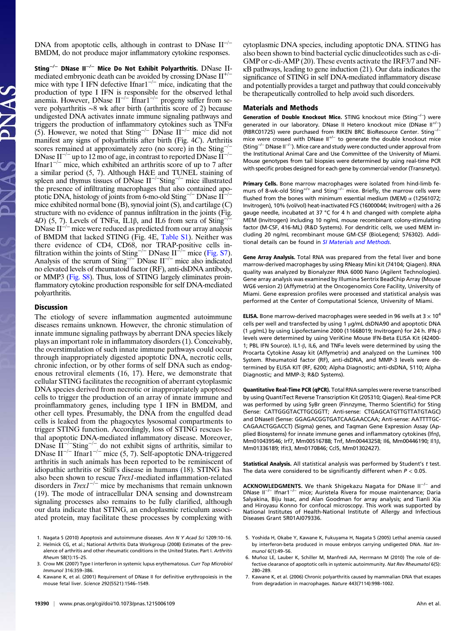DNA from apoptotic cells, although in contrast to DNase II−/<sup>−</sup> BMDM, do not produce major inflammatory cytokine responses.

Sting−/<sup>−</sup> DNase II−/<sup>−</sup> Mice Do Not Exhibit Polyarthritis. DNase IImediated embryonic death can be avoided by crossing DNase  $II^{+/}$ mice with type I IFN defective Ifnar1−/<sup>−</sup> mice, indicating that the production of type I IFN is responsible for the observed lethal anemia. However, DNase II<sup>-/-</sup> Ifnar1<sup>-/-</sup> progeny suffer from severe polyarthritis ∼8 wk after birth (arthritis score of 2) because undigested DNA activates innate immune signaling pathways and triggers the production of inflammatory cytokines such as TNFα (5). However, we noted that Sting<sup>-/−</sup> DNase II<sup>-/−</sup> mice did not manifest any signs of polyarthritis after birth (Fig. 4C). Arthritis scores remained at approximately zero (no score) in the Sting<sup>-/</sup> DNase II<sup>-/-</sup> up to 12 mo of age, in contrast to reported DNase II<sup>-/-</sup> Ifnar $1^{-/-}$  mice, which exhibited an arthritis score of up to 7 after a similar period (5, 7). Although H&E and TUNEL staining of spleen and thymus tissues of DNase II<sup>-/−</sup>Sting<sup>-/−</sup> mice illustrated the presence of infiltrating macrophages that also contained apoptotic DNA, histology of joints from 6-mo-old Sting−/<sup>−</sup> DNase II−/<sup>−</sup> mice exhibited normal bone (B), synovial joint (S), and cartilage (C) structure with no evidence of pannus infiltration in the joints (Fig. 4D) (5, 7). Levels of TNF $\alpha$ , IL1 $\beta$ , and IL6 from sera of Sting<sup>-/</sup> DNase II<sup>-/−</sup> mice were reduced as predicted from our array analysis of BMDM that lacked STING (Fig. 4E, [Table S1\)](http://www.pnas.org/lookup/suppl/doi:10.1073/pnas.1215006109/-/DCSupplemental/pnas.201215006SI.pdf?targetid=nameddest=ST1). Neither was there evidence of CD4, CD68, nor TRAP-positive cells in-filtration within the joints of Sting<sup>-/−</sup> DNase II<sup>-/−</sup> mice [\(Fig. S7](http://www.pnas.org/lookup/suppl/doi:10.1073/pnas.1215006109/-/DCSupplemental/pnas.201215006SI.pdf?targetid=nameddest=SF7)). Analysis of the serum of Sting<sup>-/−</sup> DNase II<sup>-/−</sup> mice also indicated no elevated levels of rheumatoid factor (RF), anti-dsDNA antibody, or MMP3 ([Fig. S8](http://www.pnas.org/lookup/suppl/doi:10.1073/pnas.1215006109/-/DCSupplemental/pnas.201215006SI.pdf?targetid=nameddest=SF8)). Thus, loss of STING largely eliminates proinflammatory cytokine production responsible for self DNA-mediated polyarthritis.

## **Discussion**

The etiology of severe inflammation augmented autoimmune diseases remains unknown. However, the chronic stimulation of innate immune signaling pathways by aberrant DNA species likely plays an important role in inflammatory disorders (1). Conceivably, the overstimulation of such innate immune pathways could occur through inappropriately digested apoptotic DNA, necrotic cells, chronic infection, or by other forms of self DNA such as endogenous retroviral elements (16, 17). Here, we demonstrate that cellular STING facilitates the recognition of aberrant cytoplasmic DNA species derived from necrotic or inappropriately apoptosed cells to trigger the production of an array of innate immune and proinflammatory genes, including type I IFN in BMDM, and other cell types. Presumably, the DNA from the engulfed dead cells is leaked from the phagocytes lysosomal compartments to trigger STING function. Accordingly, loss of STING rescues lethal apoptotic DNA-mediated inflammatory disease. Moreover, DNase  $\text{II}^{-/-}$ Sting<sup>-/-</sup> do not exhibit signs of arthritis, similar to DNase II−/<sup>−</sup> Ifnar1−/<sup>−</sup> mice (5, 7). Self-apoptotic DNA-triggered arthritis in such animals has been reported to be reminiscent of idiopathic arthritis or Still's disease in humans (18). STING has also been shown to rescue Trex1-mediated inflammation-related disorders in  $Trex1^{-/-}$  mice by mechanisms that remain unknown (19). The mode of intracellular DNA sensing and downstream signaling processes also remains to be fully clarified, although our data indicate that STING, an endoplasmic reticulum associated protein, may facilitate these processes by complexing with

1. Nagata S (2010) Apoptosis and autoimmune diseases. Ann N Y Acad Sci 1209:10–16.

cytoplasmic DNA species, including apoptotic DNA. STING has also been shown to bind bacterial cyclic dinucleotides such as c-di-GMP or c-di-AMP (20). These events activate the IRF3/7 and NFκB pathways, leading to gene induction (21). Our data indicates the significance of STING in self DNA-mediated inflammatory disease and potentially provides a target and pathway that could conceivably be therapeutically controlled to help avoid such disorders.

# Materials and Methods

Generation of Double Knockout Mice. STING knockout mice (Sting<sup>-/-</sup>) were generated in our laboratory. DNase II Hetero knockout mice (DNase II<sup>+/</sup> ) (RBRC01725) were purchased from RIKEN BRC BioResource Center. Sting<sup>-/</sup> mice were crossed with DNase II+/<sup>−</sup> to generate the double knockout mice (Sting−/<sup>−</sup> DNase II−/<sup>−</sup> ). Mice care and study were conducted under approval from the Institutional Animal Care and Use Committee of the University of Miami. Mouse genotypes from tail biopsies were determined by using real-time PCR with specific probes designed for each gene by commercial vendor (Transnetyx).

Primary Cells. Bone marrow macrophages were isolated from hind-limb femurs of 8-wk-old Sting<sup>+/+</sup> and Sting<sup>-/−</sup> mice. Briefly, the marrow cells were flushed from the bones with minimum essential medium (MEM)  $\alpha$  (12561072; Invitrogen), 10% (vol/vol) heat-inactivated FCS (16000044; Invitrogen) with a 26 gauge needle, incubated at 37 °C for 4 h and changed with complete alpha MEM (Invitrogen) including 10 ng/mL mouse recombinant colony-stimulating factor (M-CSF, 416-ML) (R&D Systems). For dendritic cells, we used MEM including 20 ng/mL recombinant mouse GM-CSF (BioLegend; 576302). Additional details can be found in [SI Materials and Methods](http://www.pnas.org/lookup/suppl/doi:10.1073/pnas.1215006109/-/DCSupplemental/pnas.201215006SI.pdf?targetid=nameddest=STXT).

Gene Array Analysis. Total RNA was prepared from the fetal liver and bone marrow-derived macrophages by using RNeasy Mini kit (74104; Qiagen). RNA quality was analyzed by Bionalyzer RNA 6000 Nano (Agilent Technologies). Gene array analysis was examined by Illumina Sentrix BeadChip Array (Mouse WG6 version 2) (Affymetrix) at the Oncogenomics Core Facility, University of Miami. Gene expression profiles were processed and statistical analysis was performed at the Center of Computational Science, University of Miami.

**ELISA.** Bone marrow-derived macrophages were seeded in 96 wells at 3  $\times$  10<sup>4</sup> cells per well and transfected by using 1 μg/mL dsDNA90 and apoptotic DNA (1 μg/mL) by using Lipofectamine 2000 (11668019; Invitrogen) for 24 h. IFN-β levels were determined by using VeriKine Mouse IFN-Beta ELISA Kit (42400- 1; PBL IFN Source). IL1-β, IL6, and TNFα levels were determined by using the Procarta Cytokine Assay kit (Affymetrix) and analyzed on the Luminex 100 System. Rheumatoid factor (RF), anti-dsDNA, and MMP-3 levels were determined by ELISA KIT (RF, 6200; Alpha Diagnostic; anti-dsDNA, 5110; Alpha Diagnostic; and MMP-3; R&D Systems).

Quantitative Real-Time PCR (qPCR). Total RNA samples were reverse transcribed by using QuantiTect Reverse Transcription Kit (205310; Qiagen). Real-time PCR was performed by using SyBr green (Finnzyme, Thermo Scientific) for Sting (Sense: CATTGGGTACTTGCGGTT; Anti-sense: CTGAGCATGTTGTTATGTAGC) and DNaseII (Sense: GGAGACGGTGATCAAGAACCAA; Anti-sense: AATTTTGC-CAGAACTGGACCT) (Sigma) genes, and Taqman Gene Expression Assay (Applied Biosystems) for innate immune genes and inflammatory cytokines (Ifnβ, Mm010439546; Irf7, Mm00516788; Tnf, Mm00443258; Il6, Mm00446190; Il1β, Mm01336189; Ifit3, Mm0170846; Ccl5, Mm01302427).

Statistical Analysis. All statistical analysis was performed by Student's t test. The data were considered to be significantly different when  $P < 0.05$ .

ACKNOWLEDGMENTS. We thank Shigekazu Nagata for DNase II−/<sup>−</sup> and DNase II−/<sup>−</sup> Ifnar1−/<sup>−</sup> mice; Auristela Rivera for mouse maintenance; Daria Salyakina, Biju Issac, and Alan Goodman for array analysis; and Tianli Xia and Hiroyasu Konno for confocal microscopy. This work was supported by National Institutes of Health-National Institute of Allergy and Infectious Diseases Grant 5R01AI079336.

- 5. Yoshida H, Okabe Y, Kawane K, Fukuyama H, Nagata S (2005) Lethal anemia caused by interferon-beta produced in mouse embryos carrying undigested DNA. Nat Immunol 6(1):49–56.
- 6. Muñoz LE, Lauber K, Schiller M, Manfredi AA, Herrmann M (2010) The role of defective clearance of apoptotic cells in systemic autoimmunity. Nat Rev Rheumatol 6(5): 280–289.
- 7. Kawane K, et al. (2006) Chronic polyarthritis caused by mammalian DNA that escapes from degradation in macrophages. Nature 443(7114):998–1002.

<sup>2.</sup> Helmick CG, et al.; National Arthritis Data Workgroup (2008) Estimates of the prevalence of arthritis and other rheumatic conditions in the United States. Part I. Arthritis Rheum 58(1):15–25.

<sup>3.</sup> Crow MK (2007) Type I interferon in systemic lupus erythematosus. Curr Top Microbiol Immunol 316:359–386.

<sup>4.</sup> Kawane K, et al. (2001) Requirement of DNase II for definitive erythropoiesis in the mouse fetal liver. Science 292(5521):1546–1549.